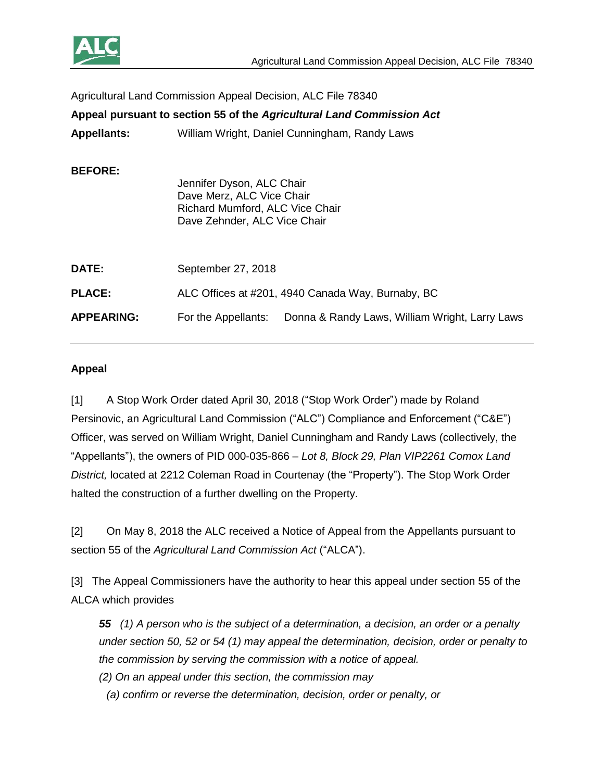

| Agricultural Land Commission Appeal Decision, ALC File 78340          |                                                                                                                           |
|-----------------------------------------------------------------------|---------------------------------------------------------------------------------------------------------------------------|
| Appeal pursuant to section 55 of the Agricultural Land Commission Act |                                                                                                                           |
| <b>Appellants:</b>                                                    | William Wright, Daniel Cunningham, Randy Laws                                                                             |
| <b>BEFORE:</b>                                                        | Jennifer Dyson, ALC Chair<br>Dave Merz, ALC Vice Chair<br>Richard Mumford, ALC Vice Chair<br>Dave Zehnder, ALC Vice Chair |
| DATE:                                                                 | September 27, 2018                                                                                                        |
| <b>PLACE:</b>                                                         | ALC Offices at #201, 4940 Canada Way, Burnaby, BC                                                                         |
| <b>APPEARING:</b>                                                     | For the Appellants:<br>Donna & Randy Laws, William Wright, Larry Laws                                                     |

### **Appeal**

[1] A Stop Work Order dated April 30, 2018 ("Stop Work Order") made by Roland Persinovic, an Agricultural Land Commission ("ALC") Compliance and Enforcement ("C&E") Officer, was served on William Wright, Daniel Cunningham and Randy Laws (collectively, the "Appellants"), the owners of PID 000-035-866 – *Lot 8, Block 29, Plan VIP2261 Comox Land District,* located at 2212 Coleman Road in Courtenay (the "Property"). The Stop Work Order halted the construction of a further dwelling on the Property.

[2] On May 8, 2018 the ALC received a Notice of Appeal from the Appellants pursuant to section 55 of the *Agricultural Land Commission Act* ("ALCA").

[3] The Appeal Commissioners have the authority to hear this appeal under section 55 of the ALCA which provides

*55 (1) A person who is the subject of a determination, a decision, an order or a penalty under section 50, 52 or 54 (1) may appeal the determination, decision, order or penalty to the commission by serving the commission with a notice of appeal.*

*(2) On an appeal under this section, the commission may*

*(a) confirm or reverse the determination, decision, order or penalty, or*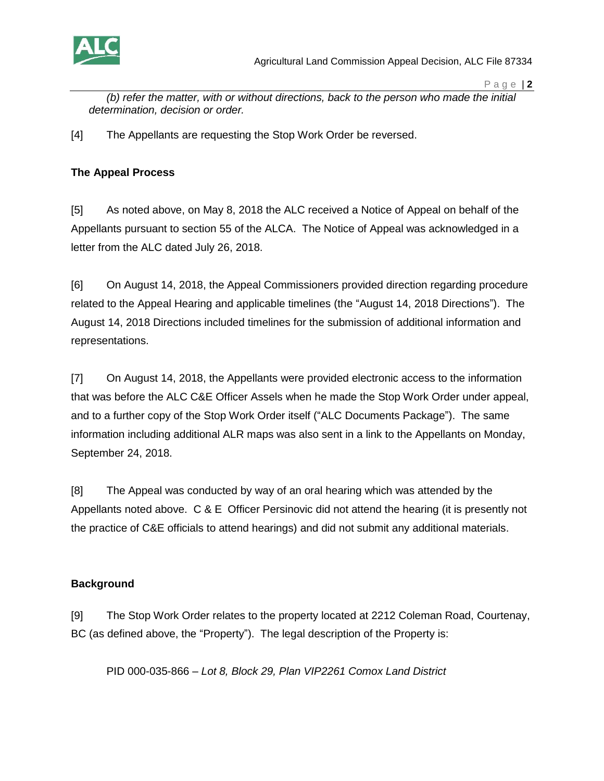

*(b) refer the matter, with or without directions, back to the person who made the initial determination, decision or order.*

[4] The Appellants are requesting the Stop Work Order be reversed.

### **The Appeal Process**

[5] As noted above, on May 8, 2018 the ALC received a Notice of Appeal on behalf of the Appellants pursuant to section 55 of the ALCA. The Notice of Appeal was acknowledged in a letter from the ALC dated July 26, 2018.

[6] On August 14, 2018, the Appeal Commissioners provided direction regarding procedure related to the Appeal Hearing and applicable timelines (the "August 14, 2018 Directions"). The August 14, 2018 Directions included timelines for the submission of additional information and representations.

[7] On August 14, 2018, the Appellants were provided electronic access to the information that was before the ALC C&E Officer Assels when he made the Stop Work Order under appeal, and to a further copy of the Stop Work Order itself ("ALC Documents Package"). The same information including additional ALR maps was also sent in a link to the Appellants on Monday, September 24, 2018.

[8] The Appeal was conducted by way of an oral hearing which was attended by the Appellants noted above. C & E Officer Persinovic did not attend the hearing (it is presently not the practice of C&E officials to attend hearings) and did not submit any additional materials.

# **Background**

[9] The Stop Work Order relates to the property located at 2212 Coleman Road, Courtenay, BC (as defined above, the "Property"). The legal description of the Property is:

PID 000-035-866 – *Lot 8, Block 29, Plan VIP2261 Comox Land District*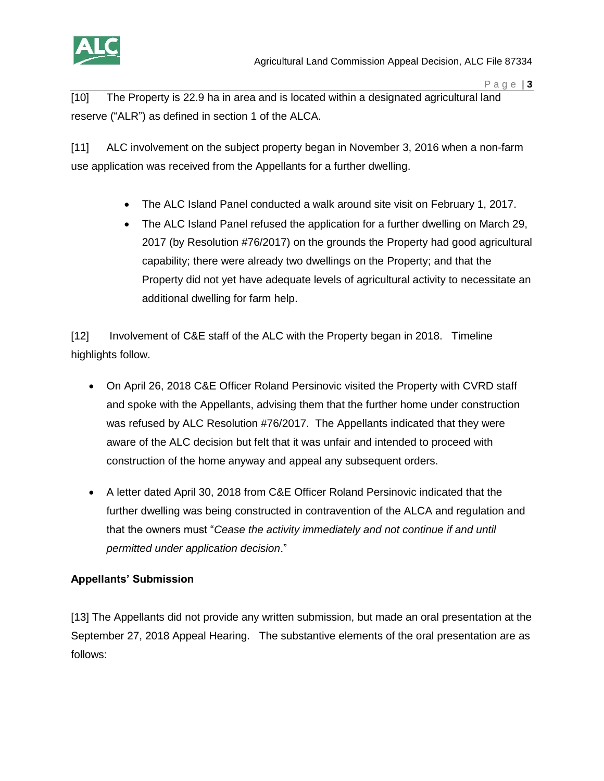

[10] The Property is 22.9 ha in area and is located within a designated agricultural land reserve ("ALR") as defined in section 1 of the ALCA.

[11] ALC involvement on the subject property began in November 3, 2016 when a non-farm use application was received from the Appellants for a further dwelling.

- The ALC Island Panel conducted a walk around site visit on February 1, 2017.
- The ALC Island Panel refused the application for a further dwelling on March 29, 2017 (by Resolution #76/2017) on the grounds the Property had good agricultural capability; there were already two dwellings on the Property; and that the Property did not yet have adequate levels of agricultural activity to necessitate an additional dwelling for farm help.

[12] Involvement of C&E staff of the ALC with the Property began in 2018. Timeline highlights follow.

- On April 26, 2018 C&E Officer Roland Persinovic visited the Property with CVRD staff and spoke with the Appellants, advising them that the further home under construction was refused by ALC Resolution #76/2017. The Appellants indicated that they were aware of the ALC decision but felt that it was unfair and intended to proceed with construction of the home anyway and appeal any subsequent orders.
- A letter dated April 30, 2018 from C&E Officer Roland Persinovic indicated that the further dwelling was being constructed in contravention of the ALCA and regulation and that the owners must "*Cease the activity immediately and not continue if and until permitted under application decision*."

# **Appellants' Submission**

[13] The Appellants did not provide any written submission, but made an oral presentation at the September 27, 2018 Appeal Hearing. The substantive elements of the oral presentation are as follows: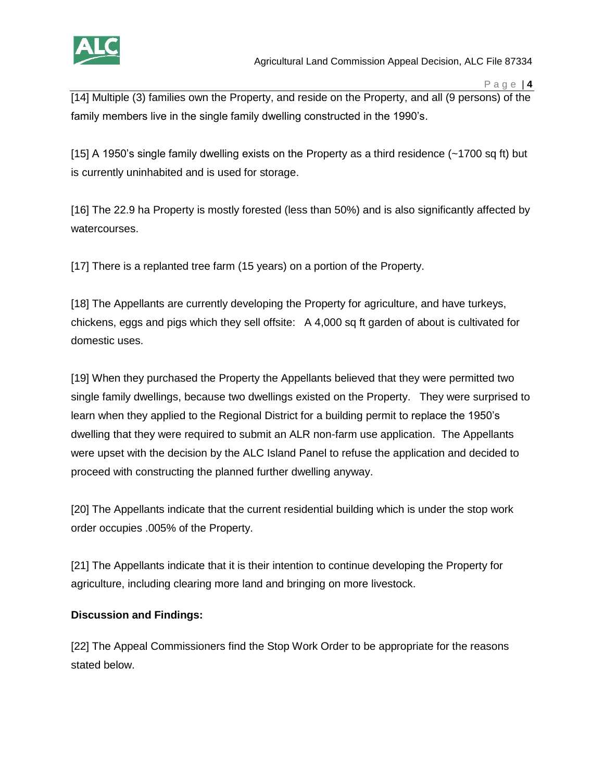

[14] Multiple (3) families own the Property, and reside on the Property, and all (9 persons) of the family members live in the single family dwelling constructed in the 1990's.

[15] A 1950's single family dwelling exists on the Property as a third residence (~1700 sq ft) but is currently uninhabited and is used for storage.

[16] The 22.9 ha Property is mostly forested (less than 50%) and is also significantly affected by watercourses.

[17] There is a replanted tree farm (15 years) on a portion of the Property.

[18] The Appellants are currently developing the Property for agriculture, and have turkeys, chickens, eggs and pigs which they sell offsite: A 4,000 sq ft garden of about is cultivated for domestic uses.

[19] When they purchased the Property the Appellants believed that they were permitted two single family dwellings, because two dwellings existed on the Property. They were surprised to learn when they applied to the Regional District for a building permit to replace the 1950's dwelling that they were required to submit an ALR non-farm use application. The Appellants were upset with the decision by the ALC Island Panel to refuse the application and decided to proceed with constructing the planned further dwelling anyway.

[20] The Appellants indicate that the current residential building which is under the stop work order occupies .005% of the Property.

[21] The Appellants indicate that it is their intention to continue developing the Property for agriculture, including clearing more land and bringing on more livestock.

# **Discussion and Findings:**

[22] The Appeal Commissioners find the Stop Work Order to be appropriate for the reasons stated below.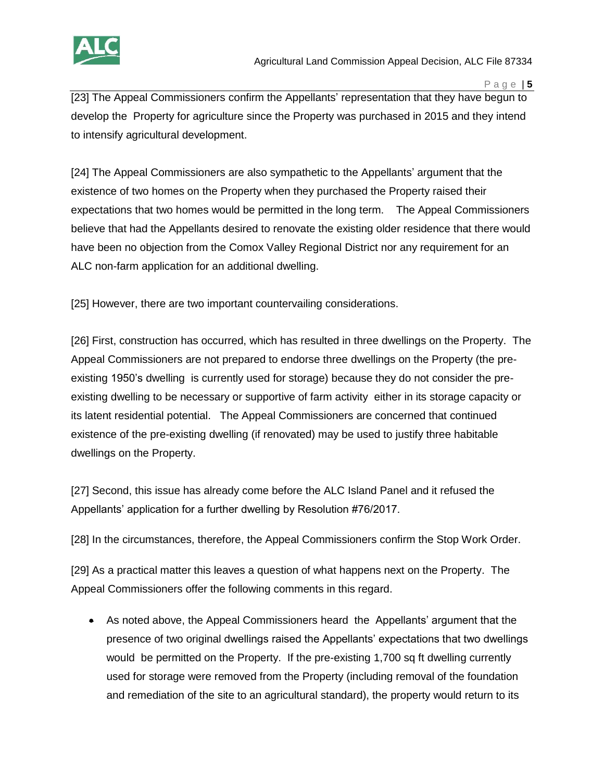

[23] The Appeal Commissioners confirm the Appellants' representation that they have begun to develop the Property for agriculture since the Property was purchased in 2015 and they intend to intensify agricultural development.

[24] The Appeal Commissioners are also sympathetic to the Appellants' argument that the existence of two homes on the Property when they purchased the Property raised their expectations that two homes would be permitted in the long term. The Appeal Commissioners believe that had the Appellants desired to renovate the existing older residence that there would have been no objection from the Comox Valley Regional District nor any requirement for an ALC non-farm application for an additional dwelling.

[25] However, there are two important countervailing considerations.

[26] First, construction has occurred, which has resulted in three dwellings on the Property. The Appeal Commissioners are not prepared to endorse three dwellings on the Property (the preexisting 1950's dwelling is currently used for storage) because they do not consider the preexisting dwelling to be necessary or supportive of farm activity either in its storage capacity or its latent residential potential. The Appeal Commissioners are concerned that continued existence of the pre-existing dwelling (if renovated) may be used to justify three habitable dwellings on the Property.

[27] Second, this issue has already come before the ALC Island Panel and it refused the Appellants' application for a further dwelling by Resolution #76/2017.

[28] In the circumstances, therefore, the Appeal Commissioners confirm the Stop Work Order.

[29] As a practical matter this leaves a question of what happens next on the Property. The Appeal Commissioners offer the following comments in this regard.

 As noted above, the Appeal Commissioners heard the Appellants' argument that the presence of two original dwellings raised the Appellants' expectations that two dwellings would be permitted on the Property. If the pre-existing 1,700 sq ft dwelling currently used for storage were removed from the Property (including removal of the foundation and remediation of the site to an agricultural standard), the property would return to its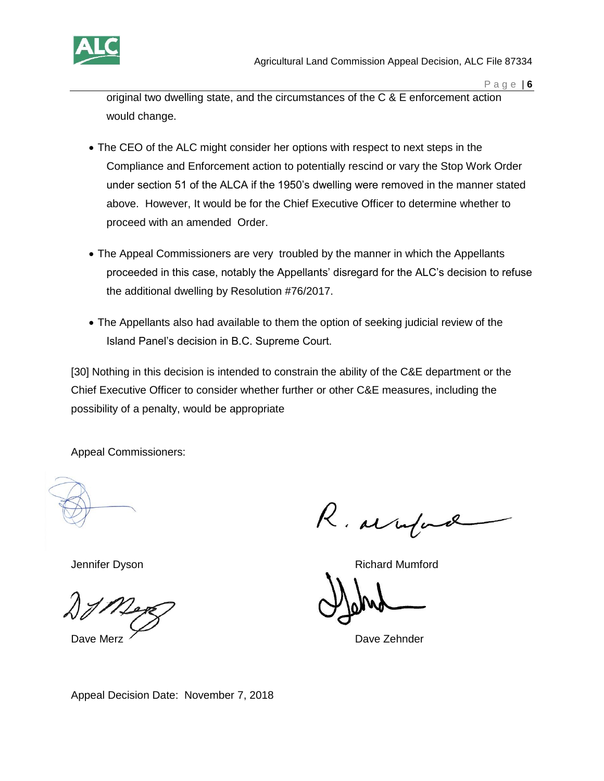

original two dwelling state, and the circumstances of the C & E enforcement action would change.

- The CEO of the ALC might consider her options with respect to next steps in the Compliance and Enforcement action to potentially rescind or vary the Stop Work Order under section 51 of the ALCA if the 1950's dwelling were removed in the manner stated above. However, It would be for the Chief Executive Officer to determine whether to proceed with an amended Order.
- The Appeal Commissioners are very troubled by the manner in which the Appellants proceeded in this case, notably the Appellants' disregard for the ALC's decision to refuse the additional dwelling by Resolution #76/2017.
- The Appellants also had available to them the option of seeking judicial review of the Island Panel's decision in B.C. Supreme Court.

[30] Nothing in this decision is intended to constrain the ability of the C&E department or the Chief Executive Officer to consider whether further or other C&E measures, including the possibility of a penalty, would be appropriate

Appeal Commissioners:

R. arrifa

Jennifer Dyson **Richard Mumford Richard Mumford** 

Dave Merz <u>Carl Charles Communication</u> Charles Communication Dave Zehnder

Appeal Decision Date: November 7, 2018